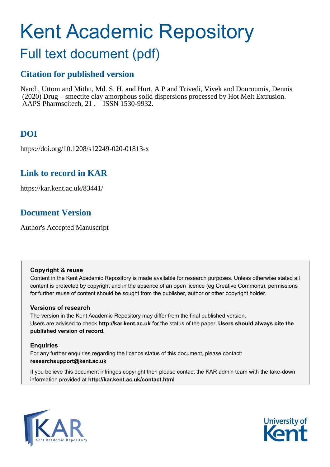# Kent Academic Repository

## Full text document (pdf)

## **Citation for published version**

Nandi, Uttom and Mithu, Md. S. H. and Hurt, A P and Trivedi, Vivek and Douroumis, Dennis (2020) Drug – smectite clay amorphous solid dispersions processed by Hot Melt Extrusion. AAPS Pharmscitech, 21. ISSN 1530-9932.

## **DOI**

https://doi.org/10.1208/s12249-020-01813-x

## **Link to record in KAR**

https://kar.kent.ac.uk/83441/

## **Document Version**

Author's Accepted Manuscript

#### **Copyright & reuse**

Content in the Kent Academic Repository is made available for research purposes. Unless otherwise stated all content is protected by copyright and in the absence of an open licence (eg Creative Commons), permissions for further reuse of content should be sought from the publisher, author or other copyright holder.

#### **Versions of research**

The version in the Kent Academic Repository may differ from the final published version. Users are advised to check **http://kar.kent.ac.uk** for the status of the paper. **Users should always cite the published version of record.**

#### **Enquiries**

For any further enquiries regarding the licence status of this document, please contact: **researchsupport@kent.ac.uk**

If you believe this document infringes copyright then please contact the KAR admin team with the take-down information provided at **http://kar.kent.ac.uk/contact.html**



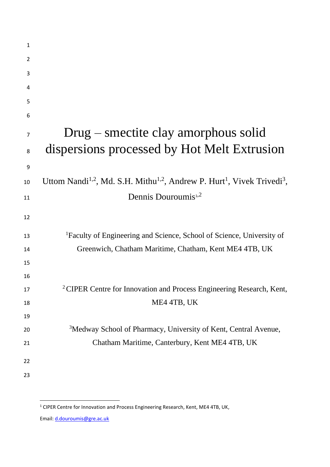| $\mathbf{1}$ |                                                                                                                         |
|--------------|-------------------------------------------------------------------------------------------------------------------------|
| 2            |                                                                                                                         |
| 3            |                                                                                                                         |
| 4            |                                                                                                                         |
| 5            |                                                                                                                         |
| 6            |                                                                                                                         |
| 7            | $Drug$ – smectite clay amorphous solid                                                                                  |
| 8            | dispersions processed by Hot Melt Extrusion                                                                             |
| 9            |                                                                                                                         |
| 10           | Uttom Nandi <sup>1,2</sup> , Md. S.H. Mithu <sup>1,2</sup> , Andrew P. Hurt <sup>1</sup> , Vivek Trivedi <sup>3</sup> , |
| 11           | Dennis Douroumis <sup>1,2</sup>                                                                                         |
| 12           |                                                                                                                         |
|              |                                                                                                                         |
| 13           | <sup>1</sup> Faculty of Engineering and Science, School of Science, University of                                       |
| 14           | Greenwich, Chatham Maritime, Chatham, Kent ME4 4TB, UK                                                                  |
| 15           |                                                                                                                         |
| 16           |                                                                                                                         |
| 17           | <sup>2</sup> CIPER Centre for Innovation and Process Engineering Research, Kent,                                        |
| 18           | ME4 4TB, UK                                                                                                             |
| 19           |                                                                                                                         |
| 20           | <sup>3</sup> Medway School of Pharmacy, University of Kent, Central Avenue,                                             |
| 21           | Chatham Maritime, Canterbury, Kent ME4 4TB, UK                                                                          |
| 22           |                                                                                                                         |
| 23           |                                                                                                                         |
|              |                                                                                                                         |

Email: [d.douroumis@gre.ac.uk](mailto:d.douroumis@gre.ac.uk)

CIPER Centre for Innovation and Process Engineering Research, Kent, ME4 4TB, UK,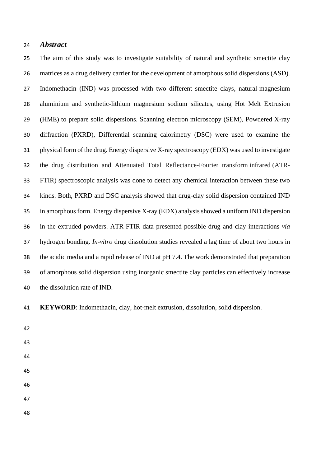#### *Abstract*

 The aim of this study was to investigate suitability of natural and synthetic smectite clay matrices as a drug delivery carrier for the development of amorphous solid dispersions (ASD). Indomethacin (IND) was processed with two different smectite clays, natural-magnesium aluminium and synthetic-lithium magnesium sodium silicates, using Hot Melt Extrusion (HME) to prepare solid dispersions. Scanning electron microscopy (SEM), Powdered X-ray diffraction (PXRD), Differential scanning calorimetry (DSC) were used to examine the physical form of the drug. Energy dispersive X-ray spectroscopy (EDX) was used to investigate the drug distribution and Attenuated Total Reflectance-Fourier transform infrared (ATR- FTIR) spectroscopic analysis was done to detect any chemical interaction between these two kinds. Both, PXRD and DSC analysis showed that drug-clay solid dispersion contained IND in amorphous form. Energy dispersive X-ray (EDX) analysis showed a uniform IND dispersion in the extruded powders. ATR-FTIR data presented possible drug and clay interactions *via* hydrogen bonding. *In-vitro* drug dissolution studies revealed a lag time of about two hours in the acidic media and a rapid release of IND at pH 7.4. The work demonstrated that preparation of amorphous solid dispersion using inorganic smectite clay particles can effectively increase the dissolution rate of IND.

**KEYWORD**: Indomethacin, clay, hot-melt extrusion, dissolution, solid dispersion.

- 
-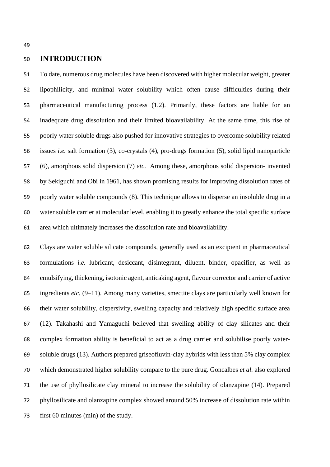#### **INTRODUCTION**

 To date, numerous drug molecules have been discovered with higher molecular weight, greater lipophilicity, and minimal water solubility which often cause difficulties during their pharmaceutical manufacturing process (1,2). Primarily, these factors are liable for an inadequate drug dissolution and their limited bioavailability. At the same time, this rise of poorly water soluble drugs also pushed for innovative strategies to overcome solubility related issues *i.e.* salt formation (3), co-crystals (4), pro-drugs formation (5), solid lipid nanoparticle (6), amorphous solid dispersion (7) *etc*. Among these, amorphous solid dispersion- invented by Sekiguchi and Obi in 1961, has shown promising results for improving dissolution rates of poorly water soluble compounds (8). This technique allows to disperse an insoluble drug in a water soluble carrier at molecular level, enabling it to greatly enhance the total specific surface area which ultimately increases the dissolution rate and bioavailability.

 Clays are water soluble silicate compounds, generally used as an excipient in pharmaceutical formulations *i.e.* lubricant, desiccant, disintegrant, diluent, binder, opacifier, as well as emulsifying, thickening, isotonic agent, anticaking agent, flavour corrector and carrier of active ingredients *etc.* (9–11). Among many varieties, smectite clays are particularly well known for their water solubility, dispersivity, swelling capacity and relatively high specific surface area (12). Takahashi and Yamaguchi believed that swelling ability of clay silicates and their complex formation ability is beneficial to act as a drug carrier and solubilise poorly water- soluble drugs (13). Authors prepared griseofluvin-clay hybrids with less than 5% clay complex which demonstrated higher solubility compare to the pure drug. Goncalbes *et al.* also explored the use of phyllosilicate clay mineral to increase the solubility of olanzapine (14). Prepared phyllosilicate and olanzapine complex showed around 50% increase of dissolution rate within first 60 minutes (min) of the study.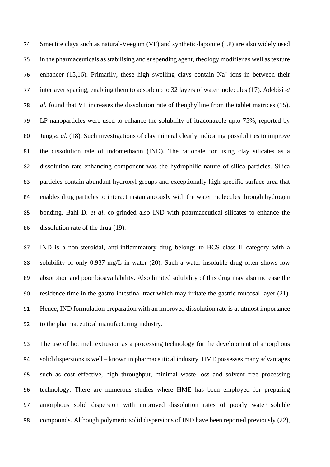Smectite clays such as natural-Veegum (VF) and synthetic-laponite (LP) are also widely used in the pharmaceuticals as stabilising and suspending agent, rheology modifier as well as texture 76 enhancer (15,16). Primarily, these high swelling clays contain  $Na<sup>+</sup>$  ions in between their interlayer spacing, enabling them to adsorb up to 32 layers of water molecules (17). Adebisi *et al.* found that VF increases the dissolution rate of theophylline from the tablet matrices (15). LP nanoparticles were used to enhance the solubility of itraconazole upto 75%, reported by Jung *et al.* (18). Such investigations of clay mineral clearly indicating possibilities to improve the dissolution rate of indomethacin (IND). The rationale for using clay silicates as a dissolution rate enhancing component was the hydrophilic nature of silica particles. Silica particles contain abundant hydroxyl groups and exceptionally high specific surface area that enables drug particles to interact instantaneously with the water molecules through hydrogen bonding. Bahl D. *et al.* co-grinded also IND with pharmaceutical silicates to enhance the dissolution rate of the drug (19).

 IND is a non-steroidal, anti-inflammatory drug belongs to BCS class II category with a solubility of only 0.937 mg/L in water (20). Such a water insoluble drug often shows low absorption and poor bioavailability. Also limited solubility of this drug may also increase the residence time in the gastro-intestinal tract which may irritate the gastric mucosal layer (21). Hence, IND formulation preparation with an improved dissolution rate is at utmost importance to the pharmaceutical manufacturing industry.

 The use of hot melt extrusion as a processing technology for the development of amorphous solid dispersions is well – known in pharmaceutical industry. HME possesses many advantages such as cost effective, high throughput, minimal waste loss and solvent free processing technology. There are numerous studies where HME has been employed for preparing amorphous solid dispersion with improved dissolution rates of poorly water soluble compounds. Although polymeric solid dispersions of IND have been reported previously (22),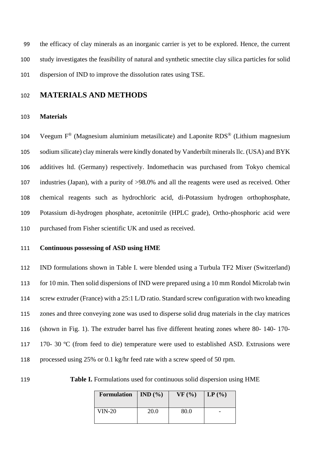the efficacy of clay minerals as an inorganic carrier is yet to be explored. Hence, the current study investigates the feasibility of natural and synthetic smectite clay silica particles for solid dispersion of IND to improve the dissolution rates using TSE.

### **MATERIALS AND METHODS**

#### **Materials**

104 Veegum  $F^{\circledast}$  (Magnesium aluminium metasilicate) and Laponite RDS<sup>®</sup> (Lithium magnesium sodium silicate) clay minerals were kindly donated by Vanderbilt minerals llc. (USA) and BYK additives ltd. (Germany) respectively. Indomethacin was purchased from Tokyo chemical industries (Japan), with a purity of >98.0% and all the reagents were used as received. Other chemical reagents such as hydrochloric acid, di-Potassium hydrogen orthophosphate, Potassium di-hydrogen phosphate, acetonitrile (HPLC grade), Ortho-phosphoric acid were purchased from Fisher scientific UK and used as received.

#### **Continuous possessing of ASD using HME**

 IND formulations shown in Table I. were blended using a Turbula TF2 Mixer (Switzerland) for 10 min. Then solid dispersions of IND were prepared using a 10 mm Rondol Microlab twin screw extruder (France) with a 25:1 L/D ratio. Standard screw configuration with two kneading zones and three conveying zone was used to disperse solid drug materials in the clay matrices (shown in Fig. 1). The extruder barrel has five different heating zones where 80- 140- 170- 117 170- 30 °C (from feed to die) temperature were used to established ASD. Extrusions were processed using 25% or 0.1 kg/hr feed rate with a screw speed of 50 rpm.

**Table I.** Formulations used for continuous solid dispersion using HME

| Formulation   IND $(\% )$ |             | VF(%) | $\mathbf{LP}$ (%) |
|---------------------------|-------------|-------|-------------------|
| VIN-20                    | <b>20.0</b> | 80.0  |                   |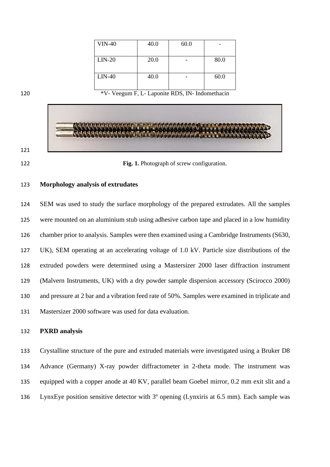| <b>VIN-40</b> | 40.0 | 60.0 |      |
|---------------|------|------|------|
|               |      |      |      |
| $LIN-20$      | 20.0 |      | 80.0 |
|               |      |      |      |
| $LIN-40$      | 40.0 |      | 60.0 |
|               |      |      |      |

\*V- Veegum F, L- Laponite RDS, IN- Indomethacin



#### **Morphology analysis of extrudates**

 SEM was used to study the surface morphology of the prepared extrudates. All the samples were mounted on an aluminium stub using adhesive carbon tape and placed in a low humidity chamber prior to analysis. Samples were then examined using a Cambridge Instruments (S630, UK), SEM operating at an accelerating voltage of 1.0 kV. Particle size distributions of the extruded powders were determined using a Mastersizer 2000 laser diffraction instrument (Malvern Instruments, UK) with a dry powder sample dispersion accessory (Scirocco 2000) and pressure at 2 bar and a vibration feed rate of 50%. Samples were examined in triplicate and Mastersizer 2000 software was used for data evaluation.

#### **PXRD analysis**

 Crystalline structure of the pure and extruded materials were investigated using a Bruker D8 Advance (Germany) X-ray powder diffractometer in 2-theta mode. The instrument was equipped with a copper anode at 40 KV, parallel beam Goebel mirror, 0.2 mm exit slit and a LynxEye position sensitive detector with 3º opening (Lynxiris at 6.5 mm). Each sample was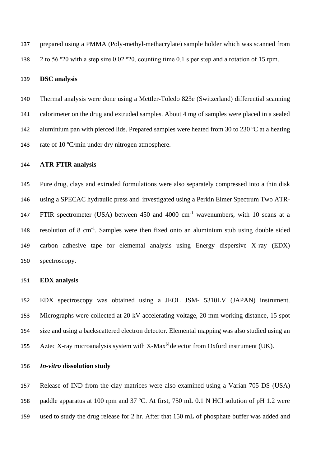prepared using a PMMA (Poly-methyl-methacrylate) sample holder which was scanned from 2 to 56 º2θ with a step size 0.02 º2θ, counting time 0.1 s per step and a rotation of 15 rpm.

#### **DSC analysis**

 Thermal analysis were done using a Mettler-Toledo 823e (Switzerland) differential scanning calorimeter on the drug and extruded samples. About 4 mg of samples were placed in a sealed 142 aluminium pan with pierced lids. Prepared samples were heated from 30 to 230 °C at a heating 143 rate of 10 °C/min under dry nitrogen atmosphere.

#### **ATR-FTIR analysis**

 Pure drug, clays and extruded formulations were also separately compressed into a thin disk using a SPECAC hydraulic press and investigated using a Perkin Elmer Spectrum Two ATR-147 FTIR spectrometer (USA) between 450 and 4000 cm<sup>-1</sup> wavenumbers, with 10 scans at a 148 resolution of 8 cm<sup>-1</sup>. Samples were then fixed onto an aluminium stub using double sided carbon adhesive tape for elemental analysis using Energy dispersive X-ray (EDX) spectroscopy.

#### **EDX analysis**

 EDX spectroscopy was obtained using a JEOL JSM- 5310LV (JAPAN) instrument. Micrographs were collected at 20 kV accelerating voltage, 20 mm working distance, 15 spot size and using a backscattered electron detector. Elemental mapping was also studied using an 155 Aztec X-ray microanalysis system with  $X$ -Max<sup>N</sup> detector from Oxford instrument (UK).

*In-vitro* **dissolution study**

 Release of IND from the clay matrices were also examined using a Varian 705 DS (USA) paddle apparatus at 100 rpm and 37 ºC. At first, 750 mL 0.1 N HCl solution of pH 1.2 were used to study the drug release for 2 hr. After that 150 mL of phosphate buffer was added and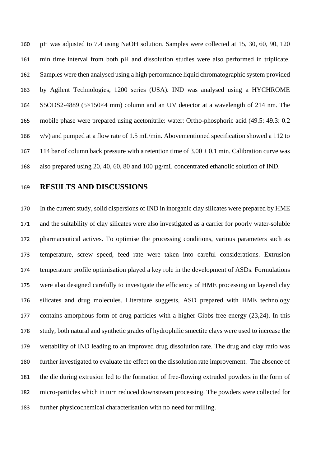pH was adjusted to 7.4 using NaOH solution. Samples were collected at 15, 30, 60, 90, 120 min time interval from both pH and dissolution studies were also performed in triplicate. Samples were then analysed using a high performance liquid chromatographic system provided by Agilent Technologies, 1200 series (USA). IND was analysed using a HYCHROME S5ODS2-4889 (5×150×4 mm) column and an UV detector at a wavelength of 214 nm. The mobile phase were prepared using acetonitrile: water: Ortho-phosphoric acid (49.5: 49.3: 0.2 v/v) and pumped at a flow rate of 1.5 mL/min. Abovementioned specification showed a 112 to 167 114 bar of column back pressure with a retention time of  $3.00 \pm 0.1$  min. Calibration curve was also prepared using 20, 40, 60, 80 and 100 µg/mL concentrated ethanolic solution of IND.

**RESULTS AND DISCUSSIONS**

 In the current study, solid dispersions of IND in inorganic clay silicates were prepared by HME and the suitability of clay silicates were also investigated as a carrier for poorly water-soluble pharmaceutical actives. To optimise the processing conditions, various parameters such as temperature, screw speed, feed rate were taken into careful considerations. Extrusion temperature profile optimisation played a key role in the development of ASDs. Formulations were also designed carefully to investigate the efficiency of HME processing on layered clay silicates and drug molecules. Literature suggests, ASD prepared with HME technology contains amorphous form of drug particles with a higher Gibbs free energy (23,24). In this study, both natural and synthetic grades of hydrophilic smectite clays were used to increase the wettability of IND leading to an improved drug dissolution rate. The drug and clay ratio was further investigated to evaluate the effect on the dissolution rate improvement. The absence of the die during extrusion led to the formation of free-flowing extruded powders in the form of micro-particles which in turn reduced downstream processing. The powders were collected for further physicochemical characterisation with no need for milling.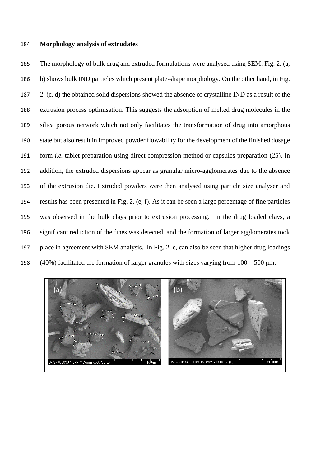#### **Morphology analysis of extrudates**

 The morphology of bulk drug and extruded formulations were analysed using SEM. Fig. 2. (a, b) shows bulk IND particles which present plate-shape morphology. On the other hand, in Fig. 2. (c, d) the obtained solid dispersions showed the absence of crystalline IND as a result of the extrusion process optimisation. This suggests the adsorption of melted drug molecules in the silica porous network which not only facilitates the transformation of drug into amorphous state but also result in improved powder flowability for the development of the finished dosage form *i.e.* tablet preparation using direct compression method or capsules preparation (25). In addition, the extruded dispersions appear as granular micro-agglomerates due to the absence of the extrusion die. Extruded powders were then analysed using particle size analyser and results has been presented in Fig. 2. (e, f). As it can be seen a large percentage of fine particles was observed in the bulk clays prior to extrusion processing. In the drug loaded clays, a significant reduction of the fines was detected, and the formation of larger agglomerates took place in agreement with SEM analysis. In Fig. 2. e, can also be seen that higher drug loadings 198 (40%) facilitated the formation of larger granules with sizes varying from  $100 - 500$  µm.

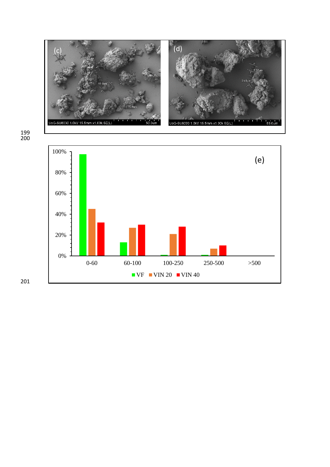



201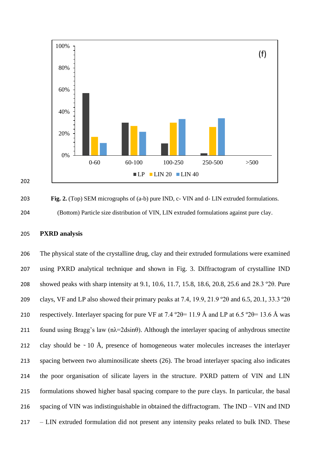

203 **Fig. 2.** (Top) SEM micrographs of (a-b) pure IND, c- VIN and d- LIN extruded formulations. 204 (Bottom) Particle size distribution of VIN, LIN extruded formulations against pure clay.

#### 205 **PXRD analysis**

202

 The physical state of the crystalline drug, clay and their extruded formulations were examined using PXRD analytical technique and shown in Fig. 3. Diffractogram of crystalline IND showed peaks with sharp intensity at 9.1, 10.6, 11.7, 15.8, 18.6, 20.8, 25.6 and 28.3 º2θ. Pure clays, VF and LP also showed their primary peaks at 7.4, 19.9, 21.9 º2θ and 6.5, 20.1, 33.3 º2θ 210 respectively. Interlayer spacing for pure VF at 7.4 °2 $\theta$  = 11.9 Å and LP at 6.5 °2 $\theta$  = 13.6 Å was 211 found using Bragg's law ( $n\lambda = 2d\sin\theta$ ). Although the interlayer spacing of anhydrous smectite 212 clay should be  $\sim 10$  Å, presence of homogeneous water molecules increases the interlayer spacing between two aluminosilicate sheets (26). The broad interlayer spacing also indicates the poor organisation of silicate layers in the structure. PXRD pattern of VIN and LIN formulations showed higher basal spacing compare to the pure clays. In particular, the basal spacing of VIN was indistinguishable in obtained the diffractogram. The IND – VIN and IND – LIN extruded formulation did not present any intensity peaks related to bulk IND. These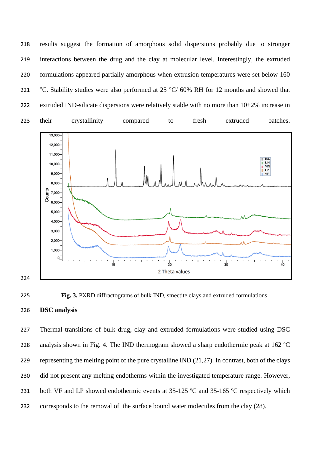results suggest the formation of amorphous solid dispersions probably due to stronger interactions between the drug and the clay at molecular level. Interestingly, the extruded formulations appeared partially amorphous when extrusion temperatures were set below 160 221 °C. Stability studies were also performed at 25 °C/ 60% RH for 12 months and showed that 222 extruded IND-silicate dispersions were relatively stable with no more than  $10\pm2\%$  increase in







 Thermal transitions of bulk drug, clay and extruded formulations were studied using DSC 228 analysis shown in Fig. 4. The IND thermogram showed a sharp endothermic peak at 162 °C representing the melting point of the pure crystalline IND (21,27). In contrast, both of the clays did not present any melting endotherms within the investigated temperature range. However, 231 both VF and LP showed endothermic events at 35-125 °C and 35-165 °C respectively which 232 corresponds to the removal of the surface bound water molecules from the clay (28).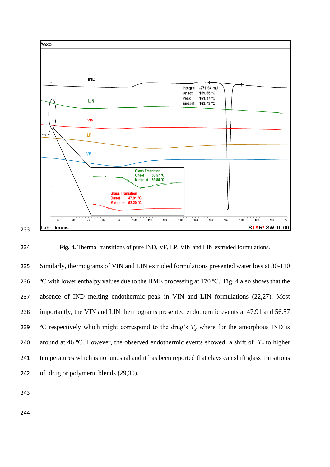

**Fig. 4.** Thermal transitions of pure IND, VF, LP, VIN and LIN extruded formulations.

235 Similarly, thermograms of VIN and LIN extruded formulations presented water loss at 30-110 236 °C with lower enthalpy values due to the HME processing at 170 °C. Fig. 4 also shows that the absence of IND melting endothermic peak in VIN and LIN formulations (22,27). Most importantly, the VIN and LIN thermograms presented endothermic events at 47.91 and 56.57 239 °C respectively which might correspond to the drug's  $T_g$  where for the amorphous IND is 240 around at 46 °C. However, the observed endothermic events showed a shift of  $T_g$  to higher temperatures which is not unusual and it has been reported that clays can shift glass transitions of drug or polymeric blends (29,30).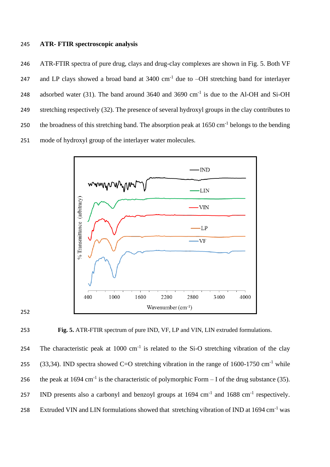#### 245 **ATR- FTIR spectroscopic analysis**

246 ATR-FTIR spectra of pure drug, clays and drug-clay complexes are shown in Fig. 5. Both VF 247 and LP clays showed a broad band at  $3400 \text{ cm}^{-1}$  due to  $-OH$  stretching band for interlayer 248 adsorbed water (31). The band around  $3640$  and  $3690$  cm<sup>-1</sup> is due to the Al-OH and Si-OH 249 stretching respectively (32). The presence of several hydroxyl groups in the clay contributes to 250 the broadness of this stretching band. The absorption peak at  $1650 \text{ cm}^{-1}$  belongs to the bending 251 mode of hydroxyl group of the interlayer water molecules.







254 The characteristic peak at  $1000 \text{ cm}^{-1}$  is related to the Si-O stretching vibration of the clay 255 (33,34). IND spectra showed C=O stretching vibration in the range of  $1600-1750$  cm<sup>-1</sup> while 256 the peak at 1694 cm<sup>-1</sup> is the characteristic of polymorphic Form – I of the drug substance (35). 257 IND presents also a carbonyl and benzoyl groups at  $1694 \text{ cm}^{-1}$  and  $1688 \text{ cm}^{-1}$  respectively. 258 Extruded VIN and LIN formulations showed that stretching vibration of IND at 1694 cm<sup>-1</sup> was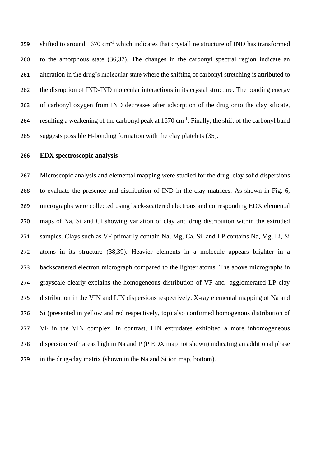259 shifted to around 1670 cm<sup>-1</sup> which indicates that crystalline structure of IND has transformed to the amorphous state (36,37). The changes in the carbonyl spectral region indicate an alteration in the drug's molecular state where the shifting of carbonyl stretching is attributed to the disruption of IND-IND molecular interactions in its crystal structure. The bonding energy of carbonyl oxygen from IND decreases after adsorption of the drug onto the clay silicate, 264 resulting a weakening of the carbonyl peak at 1670 cm<sup>-1</sup>. Finally, the shift of the carbonyl band suggests possible H-bonding formation with the clay platelets (35).

#### **EDX spectroscopic analysis**

 Microscopic analysis and elemental mapping were studied for the drug–clay solid dispersions to evaluate the presence and distribution of IND in the clay matrices. As shown in Fig. 6, micrographs were collected using back-scattered electrons and corresponding EDX elemental maps of Na, Si and Cl showing variation of clay and drug distribution within the extruded samples. Clays such as VF primarily contain Na, Mg, Ca, Si and LP contains Na, Mg, Li, Si atoms in its structure (38,39). Heavier elements in a molecule appears brighter in a backscattered electron micrograph compared to the lighter atoms. The above micrographs in grayscale clearly explains the homogeneous distribution of VF and agglomerated LP clay distribution in the VIN and LIN dispersions respectively. X-ray elemental mapping of Na and Si (presented in yellow and red respectively, top) also confirmed homogenous distribution of VF in the VIN complex. In contrast, LIN extrudates exhibited a more inhomogeneous dispersion with areas high in Na and P (P EDX map not shown) indicating an additional phase in the drug-clay matrix (shown in the Na and Si ion map, bottom).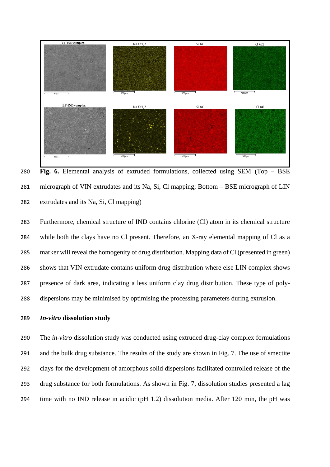

 **Fig. 6.** Elemental analysis of extruded formulations, collected using SEM (Top – BSE micrograph of VIN extrudates and its Na, Si, Cl mapping; Bottom – BSE micrograph of LIN extrudates and its Na, Si, Cl mapping)

 Furthermore, chemical structure of IND contains chlorine (Cl) atom in its chemical structure while both the clays have no Cl present. Therefore, an X-ray elemental mapping of Cl as a marker will reveal the homogenity of drug distribution. Mapping data of Cl (presented in green) shows that VIN extrudate contains uniform drug distribution where else LIN complex shows presence of dark area, indicating a less uniform clay drug distribution. These type of poly-dispersions may be minimised by optimising the processing parameters during extrusion.

#### *In-vitro* **dissolution study**

 The *in-vitro* dissolution study was conducted using extruded drug-clay complex formulations and the bulk drug substance. The results of the study are shown in Fig. 7. The use of smectite clays for the development of amorphous solid dispersions facilitated controlled release of the drug substance for both formulations. As shown in Fig. 7, dissolution studies presented a lag time with no IND release in acidic (pH 1.2) dissolution media. After 120 min, the pH was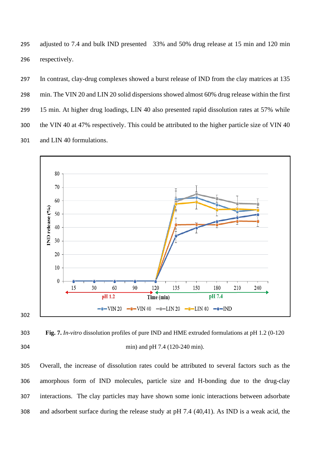adjusted to 7.4 and bulk IND presented 33% and 50% drug release at 15 min and 120 min respectively.

 In contrast, clay-drug complexes showed a burst release of IND from the clay matrices at 135 min. The VIN 20 and LIN 20 solid dispersions showed almost 60% drug release within the first 15 min. At higher drug loadings, LIN 40 also presented rapid dissolution rates at 57% while the VIN 40 at 47% respectively. This could be attributed to the higher particle size of VIN 40 and LIN 40 formulations.



 **Fig. 7.** *In-vitro* dissolution profiles of pure IND and HME extruded formulations at pH 1.2 (0-120 min) and pH 7.4 (120-240 min).

 Overall, the increase of dissolution rates could be attributed to several factors such as the amorphous form of IND molecules, particle size and H-bonding due to the drug-clay interactions. The clay particles may have shown some ionic interactions between adsorbate and adsorbent surface during the release study at pH 7.4 (40,41). As IND is a weak acid, the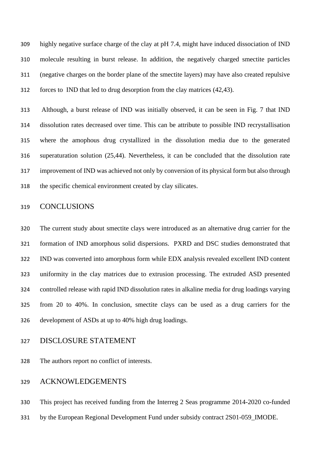highly negative surface charge of the clay at pH 7.4, might have induced dissociation of IND molecule resulting in burst release. In addition, the negatively charged smectite particles (negative charges on the border plane of the smectite layers) may have also created repulsive forces to IND that led to drug desorption from the clay matrices (42,43).

 Although, a burst release of IND was initially observed, it can be seen in Fig. 7 that IND dissolution rates decreased over time. This can be attribute to possible IND recrystallisation where the amophous drug crystallized in the dissolution media due to the generated superaturation solution (25,44). Nevertheless, it can be concluded that the dissolution rate improvement of IND was achieved not only by conversion of its physical form but also through the specific chemical environment created by clay silicates.

#### CONCLUSIONS

 The current study about smectite clays were introduced as an alternative drug carrier for the formation of IND amorphous solid dispersions. PXRD and DSC studies demonstrated that IND was converted into amorphous form while EDX analysis revealed excellent IND content uniformity in the clay matrices due to extrusion processing. The extruded ASD presented controlled release with rapid IND dissolution rates in alkaline media for drug loadings varying from 20 to 40%. In conclusion, smectite clays can be used as a drug carriers for the development of ASDs at up to 40% high drug loadings.

#### DISCLOSURE STATEMENT

The authors report no conflict of interests.

#### ACKNOWLEDGEMENTS

This project has received funding from the Interreg 2 Seas programme 2014-2020 co-funded

by the European Regional Development Fund under subsidy contract 2S01-059\_IMODE.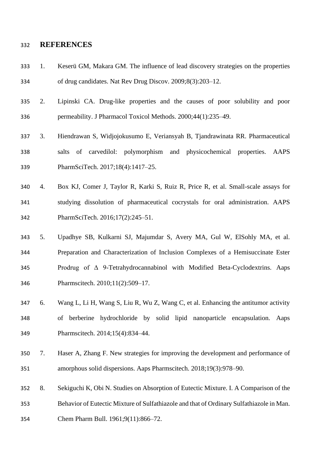#### **REFERENCES**

- 1. Keserü GM, Makara GM. The influence of lead discovery strategies on the properties of drug candidates. Nat Rev Drug Discov. 2009;8(3):203–12.
- 2. Lipinski CA. Drug-like properties and the causes of poor solubility and poor permeability. J Pharmacol Toxicol Methods. 2000;44(1):235–49.
- 3. Hiendrawan S, Widjojokusumo E, Veriansyah B, Tjandrawinata RR. Pharmaceutical salts of carvedilol: polymorphism and physicochemical properties. AAPS PharmSciTech. 2017;18(4):1417–25.
- 4. Box KJ, Comer J, Taylor R, Karki S, Ruiz R, Price R, et al. Small-scale assays for studying dissolution of pharmaceutical cocrystals for oral administration. AAPS PharmSciTech. 2016;17(2):245–51.
- 5. Upadhye SB, Kulkarni SJ, Majumdar S, Avery MA, Gul W, ElSohly MA, et al. Preparation and Characterization of Inclusion Complexes of a Hemisuccinate Ester Prodrug of Δ 9-Tetrahydrocannabinol with Modified Beta-Cyclodextrins. Aaps Pharmscitech. 2010;11(2):509–17.
- 6. Wang L, Li H, Wang S, Liu R, Wu Z, Wang C, et al. Enhancing the antitumor activity of berberine hydrochloride by solid lipid nanoparticle encapsulation. Aaps Pharmscitech. 2014;15(4):834–44.
- 7. Haser A, Zhang F. New strategies for improving the development and performance of amorphous solid dispersions. Aaps Pharmscitech. 2018;19(3):978–90.
- 8. Sekiguchi K, Obi N. Studies on Absorption of Eutectic Mixture. I. A Comparison of the
- Behavior of Eutectic Mixture of Sulfathiazole and that of Ordinary Sulfathiazole in Man.
- Chem Pharm Bull. 1961;9(11):866–72.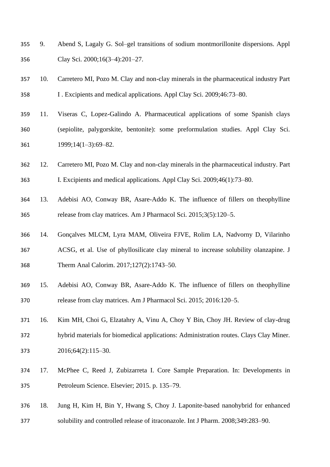- 9. Abend S, Lagaly G. Sol–gel transitions of sodium montmorillonite dispersions. Appl Clay Sci. 2000;16(3–4):201–27.
- 10. Carretero MI, Pozo M. Clay and non-clay minerals in the pharmaceutical industry Part I . Excipients and medical applications. Appl Clay Sci. 2009;46:73–80.
- 11. Viseras C, Lopez-Galindo A. Pharmaceutical applications of some Spanish clays (sepiolite, palygorskite, bentonite): some preformulation studies. Appl Clay Sci. 1999;14(1–3):69–82.
- 12. Carretero MI, Pozo M. Clay and non-clay minerals in the pharmaceutical industry. Part I. Excipients and medical applications. Appl Clay Sci. 2009;46(1):73–80.
- 13. Adebisi AO, Conway BR, Asare-Addo K. The influence of fillers on theophylline release from clay matrices. Am J Pharmacol Sci. 2015;3(5):120–5.
- 14. Gonçalves MLCM, Lyra MAM, Oliveira FJVE, Rolim LA, Nadvorny D, Vilarinho ACSG, et al. Use of phyllosilicate clay mineral to increase solubility olanzapine. J Therm Anal Calorim. 2017;127(2):1743–50.
- 15. Adebisi AO, Conway BR, Asare-Addo K. The influence of fillers on theophylline release from clay matrices. Am J Pharmacol Sci. 2015; 2016:120–5.
- 16. Kim MH, Choi G, Elzatahry A, Vinu A, Choy Y Bin, Choy JH. Review of clay-drug hybrid materials for biomedical applications: Administration routes. Clays Clay Miner. 2016;64(2):115–30.
- 17. McPhee C, Reed J, Zubizarreta I. Core Sample Preparation. In: Developments in Petroleum Science. Elsevier; 2015. p. 135–79.
- 18. Jung H, Kim H, Bin Y, Hwang S, Choy J. Laponite-based nanohybrid for enhanced solubility and controlled release of itraconazole. Int J Pharm. 2008;349:283–90.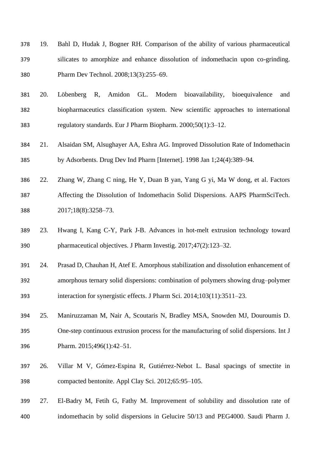- 19. Bahl D, Hudak J, Bogner RH. Comparison of the ability of various pharmaceutical silicates to amorphize and enhance dissolution of indomethacin upon co-grinding. Pharm Dev Technol. 2008;13(3):255–69.
- 20. Löbenberg R, Amidon GL. Modern bioavailability, bioequivalence and biopharmaceutics classification system. New scientific approaches to international regulatory standards. Eur J Pharm Biopharm. 2000;50(1):3–12.
- 21. Alsaidan SM, Alsughayer AA, Eshra AG. Improved Dissolution Rate of Indomethacin by Adsorbents. Drug Dev Ind Pharm [Internet]. 1998 Jan 1;24(4):389–94.
- 22. Zhang W, Zhang C ning, He Y, Duan B yan, Yang G yi, Ma W dong, et al. Factors Affecting the Dissolution of Indomethacin Solid Dispersions. AAPS PharmSciTech. 2017;18(8):3258–73.
- 23. Hwang I, Kang C-Y, Park J-B. Advances in hot-melt extrusion technology toward pharmaceutical objectives. J Pharm Investig. 2017;47(2):123–32.
- 24. Prasad D, Chauhan H, Atef E. Amorphous stabilization and dissolution enhancement of amorphous ternary solid dispersions: combination of polymers showing drug–polymer interaction for synergistic effects. J Pharm Sci. 2014;103(11):3511–23.
- 25. Maniruzzaman M, Nair A, Scoutaris N, Bradley MSA, Snowden MJ, Douroumis D. One-step continuous extrusion process for the manufacturing of solid dispersions. Int J Pharm. 2015;496(1):42–51.
- 26. Villar M V, Gómez-Espina R, Gutiérrez-Nebot L. Basal spacings of smectite in compacted bentonite. Appl Clay Sci. 2012;65:95–105.
- 27. El-Badry M, Fetih G, Fathy M. Improvement of solubility and dissolution rate of indomethacin by solid dispersions in Gelucire 50/13 and PEG4000. Saudi Pharm J.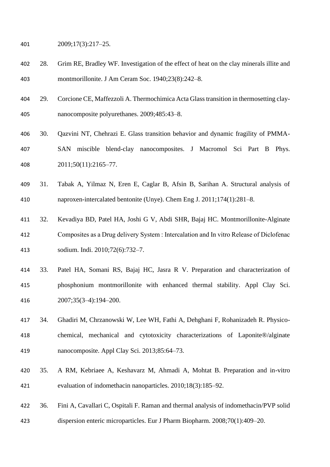2009;17(3):217–25.

- 28. Grim RE, Bradley WF. Investigation of the effect of heat on the clay minerals illite and montmorillonite. J Am Ceram Soc. 1940;23(8):242–8.
- 29. Corcione CE, Maffezzoli A. Thermochimica Acta Glass transition in thermosetting clay-nanocomposite polyurethanes. 2009;485:43–8.
- 30. Qazvini NT, Chehrazi E. Glass transition behavior and dynamic fragility of PMMA- SAN miscible blend-clay nanocomposites. J Macromol Sci Part B Phys. 2011;50(11):2165–77.
- 31. Tabak A, Yilmaz N, Eren E, Caglar B, Afsin B, Sarihan A. Structural analysis of naproxen-intercalated bentonite (Unye). Chem Eng J. 2011;174(1):281–8.
- 32. Kevadiya BD, Patel HA, Joshi G V, Abdi SHR, Bajaj HC. Montmorillonite-Alginate Composites as a Drug delivery System : Intercalation and In vitro Release of Diclofenac sodium. Indi. 2010;72(6):732–7.
- 33. Patel HA, Somani RS, Bajaj HC, Jasra R V. Preparation and characterization of phosphonium montmorillonite with enhanced thermal stability. Appl Clay Sci. 2007;35(3–4):194–200.
- 34. Ghadiri M, Chrzanowski W, Lee WH, Fathi A, Dehghani F, Rohanizadeh R. Physico- chemical, mechanical and cytotoxicity characterizations of Laponite®/alginate nanocomposite. Appl Clay Sci. 2013;85:64–73.
- 35. A RM, Kebriaee A, Keshavarz M, Ahmadi A, Mohtat B. Preparation and in-vitro evaluation of indomethacin nanoparticles. 2010;18(3):185–92.
- 36. Fini A, Cavallari C, Ospitali F. Raman and thermal analysis of indomethacin/PVP solid
- dispersion enteric microparticles. Eur J Pharm Biopharm. 2008;70(1):409–20.